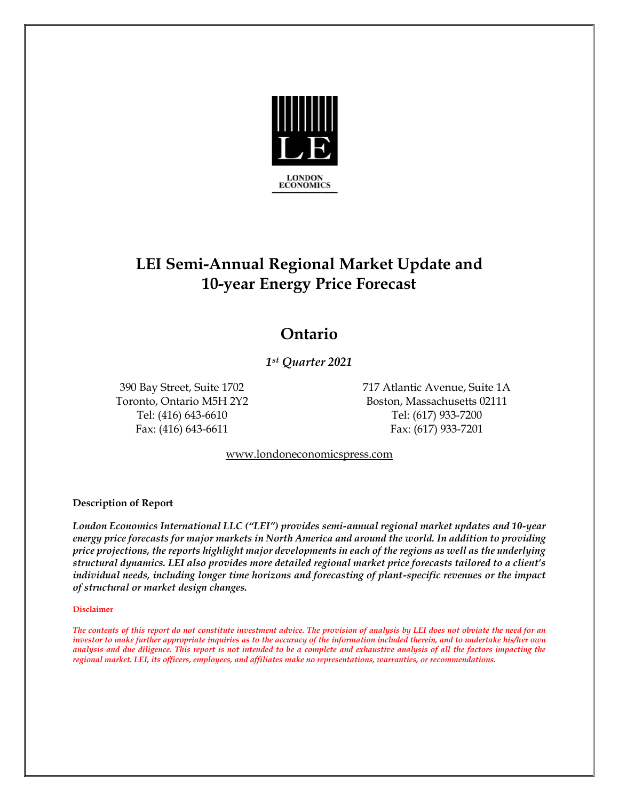

# **LEI Semi-Annual Regional Market Update and 10-year Energy Price Forecast**

## **Ontario**

*1st Quarter 2021*

Fax: (416) 643-6611 Fax: (617) 933-7201

390 Bay Street, Suite 1702 717 Atlantic Avenue, Suite 1A Toronto, Ontario M5H 2Y2 Boston, Massachusetts 02111 Tel: (416) 643-6610 Tel: (617) 933-7200

[www.londoneconomicspress.com](http://www.londoneconomicspress.com/)

### **Description of Report**

*London Economics International LLC ("LEI") provides semi-annual regional market updates and 10-year energy price forecasts for major markets in North America and around the world. In addition to providing price projections, the reports highlight major developments in each of the regions as well as the underlying structural dynamics. LEI also provides more detailed regional market price forecasts tailored to a client's individual needs, including longer time horizons and forecasting of plant-specific revenues or the impact of structural or market design changes.*

#### **Disclaimer**

*The contents of this report do not constitute investment advice. The provision of analysis by LEI does not obviate the need for an investor to make further appropriate inquiries as to the accuracy of the information included therein, and to undertake his/her own analysis and due diligence. This report is not intended to be a complete and exhaustive analysis of all the factors impacting the regional market. LEI, its officers, employees, and affiliates make no representations, warranties, or recommendations.*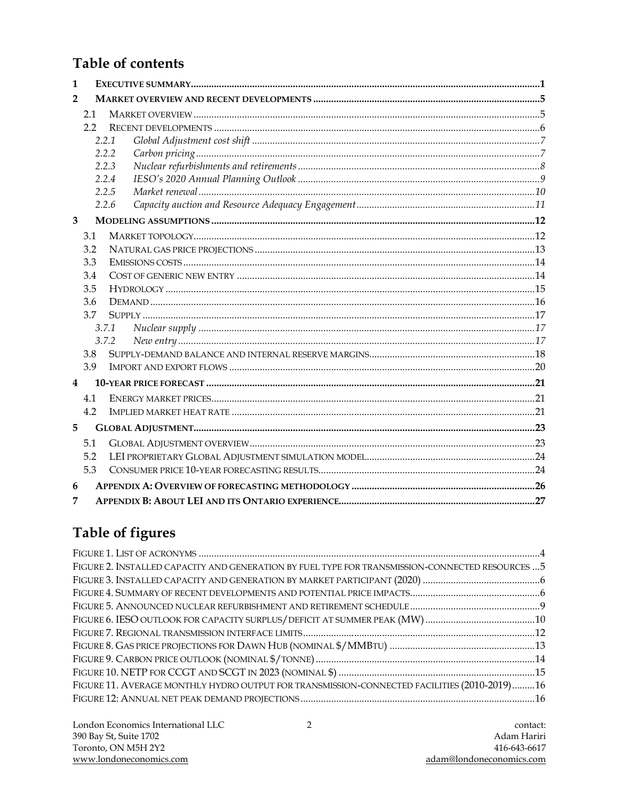### **Table of contents**

| 1              |     |       |  |
|----------------|-----|-------|--|
| $\overline{2}$ |     |       |  |
|                | 2.1 |       |  |
|                | 2.2 |       |  |
|                |     | 2.2.1 |  |
|                |     | 2.2.2 |  |
|                |     | 2.2.3 |  |
|                |     | 2.2.4 |  |
|                |     | 2.2.5 |  |
|                |     | 2.2.6 |  |
| 3              |     |       |  |
|                | 3.1 |       |  |
|                | 3.2 |       |  |
|                | 3.3 |       |  |
|                | 3.4 |       |  |
|                | 3.5 |       |  |
|                | 3.6 |       |  |
|                | 3.7 |       |  |
|                |     | 3.7.1 |  |
|                |     | 3.7.2 |  |
|                | 3.8 |       |  |
|                | 3.9 |       |  |
| 4              |     |       |  |
|                | 4.1 |       |  |
|                | 4.2 |       |  |
| 5              |     |       |  |
|                | 5.1 |       |  |
|                | 5.2 |       |  |
|                | 5.3 |       |  |
| 6              |     |       |  |
| 7              |     |       |  |

# Table of figures

| FIGURE 2. INSTALLED CAPACITY AND GENERATION BY FUEL TYPE FOR TRANSMISSION-CONNECTED RESOURCES  5 |
|--------------------------------------------------------------------------------------------------|
|                                                                                                  |
|                                                                                                  |
|                                                                                                  |
|                                                                                                  |
|                                                                                                  |
|                                                                                                  |
|                                                                                                  |
|                                                                                                  |
| FIGURE 11. AVERAGE MONTHLY HYDRO OUTPUT FOR TRANSMISSION-CONNECTED FACILITIES (2010-2019)16      |
|                                                                                                  |
|                                                                                                  |